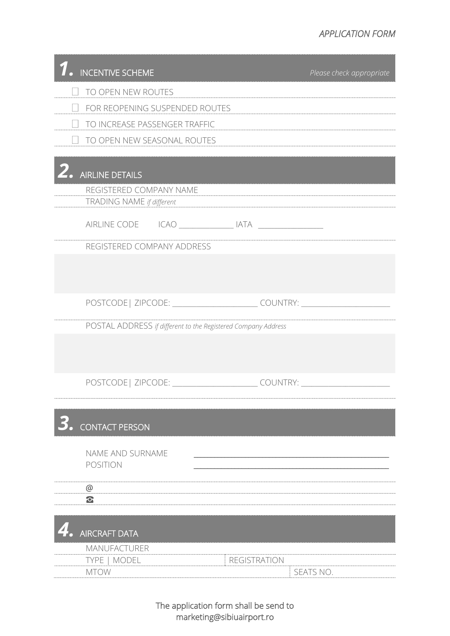## *APPLICATION FORM*

| <b>INCENTIVE SCHEME</b>                                       | Please check appropriate                                                         |  |  |  |
|---------------------------------------------------------------|----------------------------------------------------------------------------------|--|--|--|
| TO OPEN NEW ROUTES                                            |                                                                                  |  |  |  |
| FOR REOPENING SUSPENDED ROUTES                                |                                                                                  |  |  |  |
| TO INCREASE PASSENGER TRAFFIC                                 |                                                                                  |  |  |  |
| TO OPEN NEW SEASONAL ROUTES                                   |                                                                                  |  |  |  |
|                                                               |                                                                                  |  |  |  |
| <b>AIRLINE DETAILS</b>                                        |                                                                                  |  |  |  |
| REGISTERED COMPANY NAME<br>TRADING NAME if different          |                                                                                  |  |  |  |
|                                                               |                                                                                  |  |  |  |
| REGISTERED COMPANY ADDRESS                                    |                                                                                  |  |  |  |
|                                                               |                                                                                  |  |  |  |
|                                                               |                                                                                  |  |  |  |
|                                                               | POSTCODE   ZIPCODE: ___________________________COUNTRY: ________________________ |  |  |  |
| POSTAL ADDRESS if different to the Registered Company Address |                                                                                  |  |  |  |
|                                                               |                                                                                  |  |  |  |
|                                                               |                                                                                  |  |  |  |
|                                                               | POSTCODE   ZIPCODE: _____________________________COUNTRY: _______________        |  |  |  |
|                                                               |                                                                                  |  |  |  |
| <b>CONTACT PERSON</b>                                         |                                                                                  |  |  |  |
|                                                               |                                                                                  |  |  |  |
| NAME AND SURNAME<br><b>POSITION</b>                           |                                                                                  |  |  |  |
| @                                                             |                                                                                  |  |  |  |
| $\bullet$                                                     |                                                                                  |  |  |  |
|                                                               |                                                                                  |  |  |  |
| <b>AIRCRAFT DATA</b>                                          |                                                                                  |  |  |  |
| <b>MANUFACTURER</b>                                           |                                                                                  |  |  |  |
| MODEL<br><b>TYPE</b><br><b>MTOW</b>                           | <b>REGISTRATION</b><br>SEATS NO.                                                 |  |  |  |

The application form shall be send to marketing@sibiuairport.ro